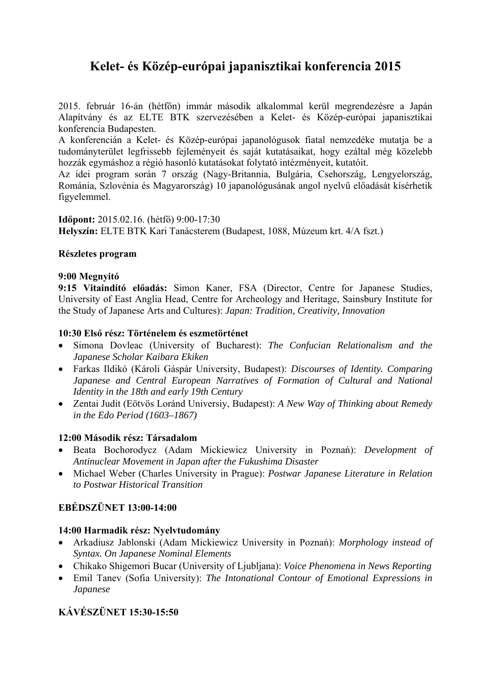# **Kelet- és Közép-európai japanisztikai konferencia 2015**

2015. február 16-án (hétfőn) immár második alkalommal kerül megrendezésre a Japán Alapítvány és az ELTE BTK szervezésében a Kelet- és Közép-európai japanisztikai konferencia Budapesten.

A konferencián a Kelet- és Közép-európai japanológusok fiatal nemzedéke mutatja be a tudományterület legfrissebb fejleményeit és saját kutatásaikat, hogy ezáltal még közelebb hozzák egymáshoz a régió hasonló kutatásokat folytató intézményeit, kutatóit.

Az idei program során 7 ország (Nagy-Britannia, Bulgária, Csehország, Lengyelország, Románia, Szlovénia és Magyarország) 10 japanológusának angol nyelvű előadását kísérhetik figyelemmel.

**Időpont:** 2015.02.16. (hétfő) 9:00-17:30

**Helyszín:** ELTE BTK Kari Tanácsterem (Budapest, 1088, Múzeum krt. 4/A fszt.)

## **Részletes program**

## **9:00 Megnyitó**

**9:15 Vitaindító előadás:** Simon Kaner, FSA (Director, Centre for Japanese Studies, University of East Anglia Head, Centre for Archeology and Heritage, Sainsbury Institute for the Study of Japanese Arts and Cultures): *Japan: Tradition, Creativity, Innovation*

## **10:30 Első rész: Történelem és eszmetörténet**

- Simona Dovleac (University of Bucharest): *The Confucian Relationalism and the Japanese Scholar Kaibara Ekiken*
- Farkas Ildikó (Károli Gáspár University, Budapest): *Discourses of Identity. Comparing Japanese and Central European Narratives of Formation of Cultural and National Identity in the 18th and early 19th Century*
- Zentai Judit (Eötvös Loránd Universiy, Budapest): *A New Way of Thinking about Remedy in the Edo Period (1603–1867)*

#### **12:00 Második rész: Társadalom**

- Beata Bochorodycz (Adam Mickiewicz University in Poznań): *Development of Antinuclear Movement in Japan after the Fukushima Disaster*
- Michael Weber (Charles University in Prague): *Postwar Japanese Literature in Relation to Postwar Historical Transition*

# **EBÉDSZÜNET 13:00-14:00**

# **14:00 Harmadik rész: Nyelvtudomány**

- Arkadiusz Jablonski (Adam Mickiewicz University in Poznań): *Morphology instead of Syntax. On Japanese Nominal Elements*
- Chikako Shigemori Bucar (University of Ljubljana): *Voice Phenomena in News Reporting*
- Emil Tanev (Sofia University): *The Intonational Contour of Emotional Expressions in Japanese*

# **KÁVÉSZÜNET 15:30-15:50**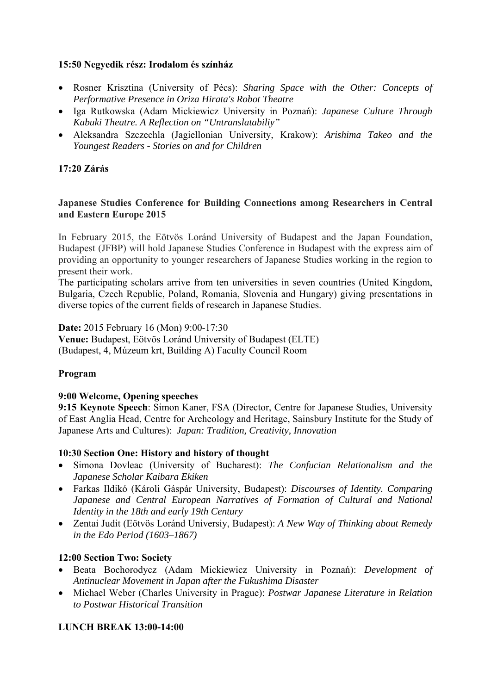# **15:50 Negyedik rész: Irodalom és színház**

- Rosner Krisztina (University of Pécs): *Sharing Space with the Other: Concepts of Performative Presence in Oriza Hirata's Robot Theatre*
- Iga Rutkowska (Adam Mickiewicz University in Poznań): *Japanese Culture Through Kabuki Theatre. A Reflection on "Untranslatabiliy"*
- Aleksandra Szczechla (Jagiellonian University, Krakow): *Arishima Takeo and the Youngest Readers - Stories on and for Children*

# **17:20 Zárás**

## **Japanese Studies Conference for Building Connections among Researchers in Central and Eastern Europe 2015**

In February 2015, the Eötvös Loránd University of Budapest and the Japan Foundation, Budapest (JFBP) will hold Japanese Studies Conference in Budapest with the express aim of providing an opportunity to younger researchers of Japanese Studies working in the region to present their work.

The participating scholars arrive from ten universities in seven countries (United Kingdom, Bulgaria, Czech Republic, Poland, Romania, Slovenia and Hungary) giving presentations in diverse topics of the current fields of research in Japanese Studies.

**Date:** 2015 February 16 (Mon) 9:00-17:30

**Venue:** Budapest, Eötvös Loránd University of Budapest (ELTE) (Budapest, 4, Múzeum krt, Building A) Faculty Council Room

#### **Program**

# **9:00 Welcome, Opening speeches**

**9:15 Keynote Speech**: Simon Kaner, FSA (Director, Centre for Japanese Studies, University of East Anglia Head, Centre for Archeology and Heritage, Sainsbury Institute for the Study of Japanese Arts and Cultures): *Japan: Tradition, Creativity, Innovation*

#### **10:30 Section One: History and history of thought**

- Simona Dovleac (University of Bucharest): *The Confucian Relationalism and the Japanese Scholar Kaibara Ekiken*
- Farkas Ildikó (Károli Gáspár University, Budapest): *Discourses of Identity. Comparing Japanese and Central European Narratives of Formation of Cultural and National Identity in the 18th and early 19th Century*
- Zentai Judit (Eötvös Loránd Universiy, Budapest): *A New Way of Thinking about Remedy in the Edo Period (1603–1867)*

# **12:00 Section Two: Society**

- Beata Bochorodycz (Adam Mickiewicz University in Poznań): *Development of Antinuclear Movement in Japan after the Fukushima Disaster*
- Michael Weber (Charles University in Prague): *Postwar Japanese Literature in Relation to Postwar Historical Transition*

# **LUNCH BREAK 13:00-14:00**